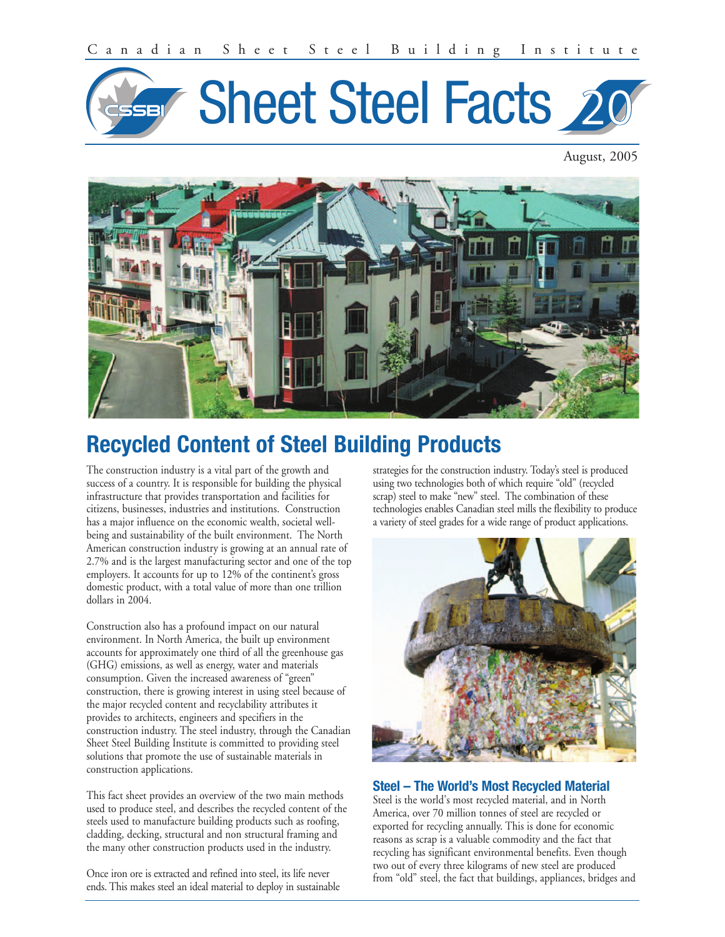

August, 2005



# **Recycled Content of Steel Building Products**

The construction industry is a vital part of the growth and success of a country. It is responsible for building the physical infrastructure that provides transportation and facilities for citizens, businesses, industries and institutions. Construction has a major influence on the economic wealth, societal wellbeing and sustainability of the built environment. The North American construction industry is growing at an annual rate of 2.7% and is the largest manufacturing sector and one of the top employers. It accounts for up to 12% of the continent's gross domestic product, with a total value of more than one trillion dollars in 2004.

Construction also has a profound impact on our natural environment. In North America, the built up environment accounts for approximately one third of all the greenhouse gas (GHG) emissions, as well as energy, water and materials consumption. Given the increased awareness of "green" construction, there is growing interest in using steel because of the major recycled content and recyclability attributes it provides to architects, engineers and specifiers in the construction industry. The steel industry, through the Canadian Sheet Steel Building Institute is committed to providing steel solutions that promote the use of sustainable materials in construction applications.

This fact sheet provides an overview of the two main methods used to produce steel, and describes the recycled content of the steels used to manufacture building products such as roofing, cladding, decking, structural and non structural framing and the many other construction products used in the industry.

Once iron ore is extracted and refined into steel, its life never ends. This makes steel an ideal material to deploy in sustainable strategies for the construction industry. Today's steel is produced using two technologies both of which require "old" (recycled scrap) steel to make "new" steel. The combination of these technologies enables Canadian steel mills the flexibility to produce a variety of steel grades for a wide range of product applications.



# **Steel – The World's Most Recycled Material**

Steel is the world's most recycled material, and in North America, over 70 million tonnes of steel are recycled or exported for recycling annually. This is done for economic reasons as scrap is a valuable commodity and the fact that recycling has significant environmental benefits. Even though two out of every three kilograms of new steel are produced from "old" steel, the fact that buildings, appliances, bridges and